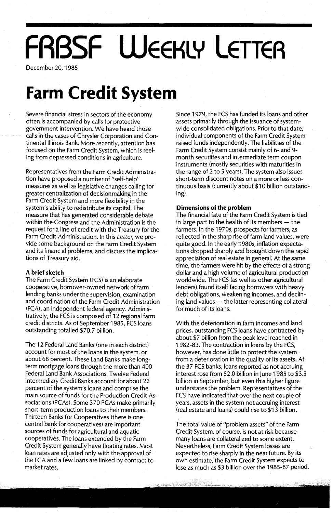# **FRBSF WEEKLY LETTER**

December 20, 1985

# **Farm Credit System**

Severe financial stress in sectors of the economy often is accompanied by calls for protective government intervention. We have heard those calls in the cases of Chrysler Corporation and Continental Illinois Bank. More recently, attention has focused on the Farm Credit System, which is reeling from depressed conditions in agriculture.

Representatives from the Farm Credit Administration have proposed a number of "self-help" measures as well as legislative changes calling for greater centralization of decisionmaking in the Farm Credit System and more flexibility in the system's ability to redistribute its capital. The measure that has generated considerable debate within the Congress and the Administration is the request for a line of credit with the Treasury for the Farm Credit Administration. In this Letter, we provide some background on the Farm Credit System and its financial problems, and discuss the implications of Treasury aid.

### **A brief sketch**

The Farm Credit System (FCS) is an elaborate cooperative, borrower-owned network of farm lending banks under the supervision, examination and coordination of the Farm Credit Administration (FCA), an independent federal agency. Administratively, the FCS is composed of 12 regional farm credit districts. As of September 1985, FCS loans outstanding totalled \$70.7 billion.

The 12 Federal land Banks (one in,each district) account for most of the loans in the system, or about 68 percent. These land Banks make longterm mortgage loans through the more than 400 ' Federal land Bank Associations. Twelve Federal Intermediary Credit Banks account for about 22 percent of the system's loans and comprise the main source of funds for the Production Credit Associations (PCAs). Some 370 PCAs make primarily short-term production loans to their members. Thirteen Banks for Cooperatives (there is one central bank for cooperatives) are important sources of funds for agricultural and aquatic cooperatives. The loans extended by the Farm Credit System generally have floating rates. Most loan rates are adjusted only with the approval of the FCA and a few loans are linked by contract to market rates.

Since 1979, the FCS has funded its loans and other assets primarily through the issuance of systemwide consolidated obligations. Prior to that date, individual components of the Farm Credit System raised funds independently. The liabilities of the Farm Credit System consist mainly of 6- and 9 month securities and intermediate term coupon instruments (mostly securities with maturities in the range of 2 to 5 years). The system also issues short-term discount notes on a more or less continuous basis (currently about \$10 billion outstanding).

## **Dimensions of the problem**

The financial fate of the Farm Credit System is tied in large part to the health of its members  $-$  the farmers. In the 1970s, prospects for farmers, as reflected in the sharp rise of farm land values, were quite good. In the early 1980s, inflation expectations dropped sharply and brought down the rapid appreciation of real estate in general. At the same time, the farmers were hit by the effects of a strong dollar and a high volume of agricultural production worldwide. The FCS (as well as other agricultural lenders) found itself facing borrowers with heavy debt obligations, weakening incomes, and declining land values - the latter representing collateral for much of its loans.

With the deterioration in farm incomes and land prices, outstanding FCS loans have contracted by about \$7 billion from the peak level reached in 1982-83. The contraction in loans by the FCS, however, has done little to protect the system from a deterioration in the quality of its assets. At the 37 FCS banks, loans reported as not accruing interest rose from \$2.0 billion in June 1985 to \$3.5 billion in September, but even this higher figure understates the problem. Representatives of the FCS have indicated that over the next couple of years, assets in the system not accruing interest (real estate and loans) could rise to \$13 billion.

The total value of "problem assets" of the Farm Credit System, of course, is not at risk because many loans are collateralized to some extent. Nevertheless, Farm Credit System losses are expected to rise sharply in the near future. By its own estimate, the Farm Credit System expects to lose as much as \$3 billion over the 1985-87 period.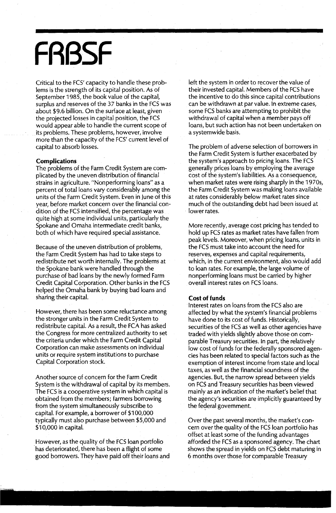# **FRBSF**

Critical to the FCS' capacity to handle these problems is the strength of its capital position. As of September 1985, the book value of the capital, surplus and reserves of the 37 banks in the FCS was about \$9.6 billion. On the surface at least, given the projected losses in capital position, the FCS would appear able to handle the current scope of its problems. These problems, however, involve more than the capacity of the FCS' current level of capital to absorb losses.

#### **Complications**

The problems of the Farm Credit System are complicated by the uneven distribution of financial strains in agriculture. "Nonperforming loans" as a percent of total loans vary considerably among the units of the Farm Credit System. Even in June of this year, before market concern over the financial condition of the FCS intensified; the percentage was quite high at some individual units, particularly the Spokane and Omaha intermediate credit banks, both of which have required special assistance.

Because of the uneven distribution of problems, the Farm Credit System has had to take steps to redistribute net worth internally. The problems at the Spokane bank were handled through the purchase of bad loans by the newly formed Farm Credit Capital Corporation. Other banks in the FCS helped the Omaha bank by buying bad loans and sharing their capital.

However, there has been some reluctance among the stronger units in the Farm Credit System to redistribute capital. As a result, the FCA has asked the Congress for more centralized authority to set the criteria under which the Farm Credit Capital Corporation can make assessments on individual units or require system institutions to purchase Capital Corporation stock.

Another source of concern for the Farm Credit System is the withdrawal of capital by its members. The FCS is a cooperative system in which capital is obtained from the members; farmers borrowing from the system simultaneously subscribe to capital. For example, a borrower of \$100,000 typically must also purchase between \$5,000 and \$10,000 in capital.

However, as the quality of the FCS loan portfolio has deteriorated, there has been a flight of some good borrowers. They have paid off their loans and left the system in order to recover the value of their invested capital. Members of the FCS have the incentive to do this since capital contributions can be withdrawn at par value. In extreme cases, some FCS banks are attempting to prohibit the withdrawal of capital when a member pays off loans, but such action has not been undertaken on a systemwide basis.

The problem of adverse selection of borrowers in the Farm Credit System is further exacerbated by the system's approach to pricing loans. The FCS generally prices loans by employing the average cost of the system's liabilities. As a consequence, when market rates were rising sharply in the 1970s, the Farm Credit System was making loans available at rates considerably below market rates since much of the outstanding debt had been issued at lower rates.

More recently, average cost pricing has tended to hold up FCS rates as market rates have fallen from peak levels. Moreover, when pricing loans, units in the FCS must take into account the need for reserves, expenses and capital requirements, which, in the current environment, also would add to loan rates. For example, the large volume of nonperforming loans must be carried by higher overall interest rates on FCS loans.

### **Cost of funds**

Interest rates on loans from the FCS also are affected by what the system's financial problems have done to its cost of funds. Historically, securities of the FCS as well as other agencies have traded with yields slightly above those on comparable Treasury securities. In part, the relatively low cost of funds for the federally sponsored agencies has been related to special factors such as the exemption of interest income from state and local taxes, as well as the financial soundness of the agencies. But, the narrow spread between yields on FCS and Treasury securities has been viewed mainly as an indication of the market's belief that the agency's securities are implicitly guaranteed by the federal government.

Over the past several months, the market's concern over the quality of the FCS loan portfolio has offset at least some of the funding advantages afforded the FCS as a sponsored agency. The chart shows the spread in yields on FCS debt maturing in 6 months over those for comparable Treasury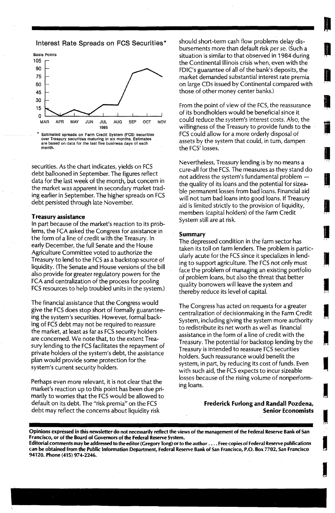Interest Rate Spreads on FCS Securities\*



Estimated spreads on Farm Credit System (FCS) securities over Treasury securities maturing in six months. Estimates<br>are based on data for the last five business days of each month.

securities. As the chart indicates, yields on FCS debt ballooned in September. The figures reflect data for the last week of the month, but concern in the market was apparent in secondary market trading earlier in September. The higher spreads on FCS debt persisted through late November.

#### Treasury assistance

In part because of the market's reaction to its problems, the FCA asked the Congress for assistance in the form of a line of credit with the Treasury. In early December, the full Senate and the House Agriculture Committee voted to authorize the Treasury to lend to the FCS as a backstop source of liquidity. (The Senate and House versions of the bill also provide for greater regulatory powers for the FCA and centralization of the process for pooling FCS resources to help troubled units in the system.)

The financial assistance that the Congress would give the FCS does stop short of formally guaranteeing the system's securities. However, formal backing of FCS debt may not be required to reassure the market, at least as far as FCS security holders are concerned. We note that, to the extent Treasury lending to the FCS facilitates the repayment of private holders of the system's debt, the assistance plan would provide some protection for the system's current security holders.

Perhaps even more relevant, it is not clear that the market's reaction up to this point has been due primarily to worries that the FCS would be allowed to default on its debt. The "risk premia" on the FCS debt may reflect the concerns about liquidity risk

should short-term cash flow problems delay disbursements more than default risk per se. (Such a situation is similar to that observed in 1984 during the Continental Illinois crisis when, even with the FDIC's guarantee of all of the bank's deposits, the market demanded substantial interest rate premia on large CDs issued by Continental compared with those of other money center banks.)

**In account** 

I[I,

J

**In the case of the case of the case of the case of the case of the case of the case of the case of the case of the case of the case of the case of the case of the case of the case of the case of the case of the case of th** 

**IN** 

I

I

**In the light** 

From the point of view of the FCS, the reassurance of its bondholders would be beneficial since it could reduce the system's interest costs. A!so, the willingness of the Treasury to provide funds to the FCS could allow for a more orderly disposal of assets by the system that could, in turn, dampen the FCS' losses.

Nevertheless, Treasury lending is by no means a cure-all for the. FCS. The measures as they stand do not address the system's fundamental problem the quality of its loans and the potential for sizeable permanent losses from bad loans. Financial aid will not turn bad loans into good loans. If Treasury aid is limited strictly to the provision of liquidity, members (capital holders) of the Farm Credit System still are at risk.

#### Summary

The depressed condition in the farm sector has taken its toll on farm lenders. The problem is particularly acute for the FCS since it specializes in lending to support agriculture. The FCS not only must face the problem of managing an existing portfolio of problem loans, but also the threat that better quality borrowers will leave the system and thereby reduce its level of capital.

The Congress has acted on requests for a greater. centralization of decisionmaking in the Farm Credit System, including giving the system more authority to redistribute its net worth as well as financial assistance in the form of a line of credit with the Treasury. The potential for backstop lending by the Treasury is intended to reassure FCS securities holders. Such reassurance would benefit the system, in part, by reducing its cost of funds. Even with such aid, the FCS expects to incur sizeable losses because of the rising volume of nonperforming loans.

> Frederick Furlong and Randall Pozdena, Senior Economists

Opinions expressed in this newsletter do not necessarily reflect the views of the management of the Federal Reserve Bank of San Francisco, or of the Board of Governors of the Federal Reserve System.

Editorial comments may be addressed to the editor (Gregory Tong) or to the author . . . . Free copies of Federal Reserve publications can be obtained from the Public Information Department, Federal Reserve Bank of San Francisco, P.O. Box 7702, San Francisco 94120. Phone (415) 974-2246.